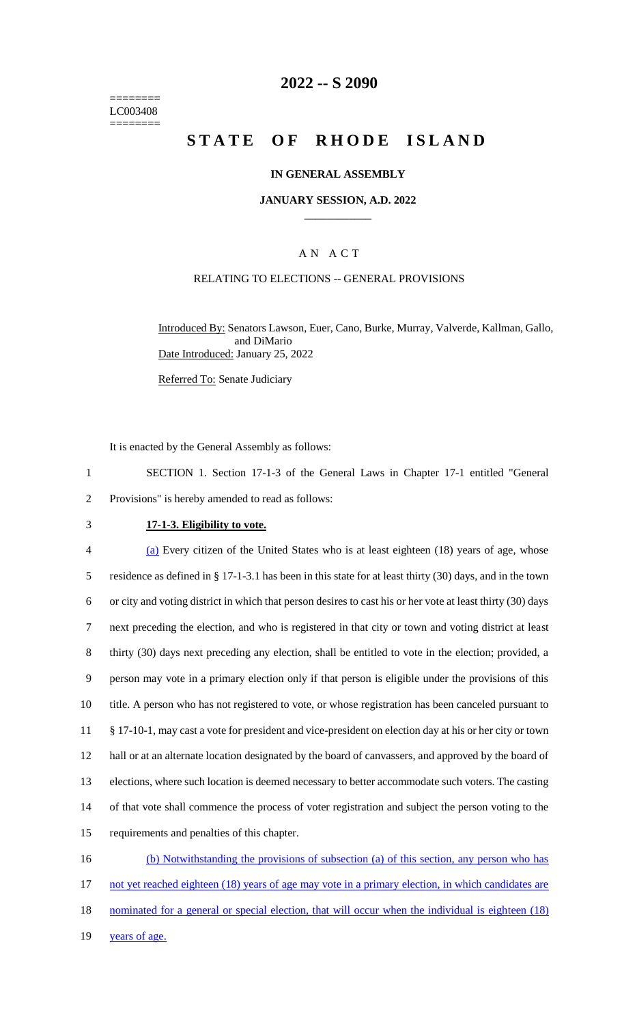======== LC003408 ========

## **2022 -- S 2090**

# **STATE OF RHODE ISLAND**

### **IN GENERAL ASSEMBLY**

#### **JANUARY SESSION, A.D. 2022 \_\_\_\_\_\_\_\_\_\_\_\_**

### A N A C T

## RELATING TO ELECTIONS -- GENERAL PROVISIONS

Introduced By: Senators Lawson, Euer, Cano, Burke, Murray, Valverde, Kallman, Gallo, and DiMario Date Introduced: January 25, 2022

Referred To: Senate Judiciary

It is enacted by the General Assembly as follows:

1 SECTION 1. Section 17-1-3 of the General Laws in Chapter 17-1 entitled "General 2 Provisions" is hereby amended to read as follows:

#### 3 **17-1-3. Eligibility to vote.**

 (a) Every citizen of the United States who is at least eighteen (18) years of age, whose residence as defined in § 17-1-3.1 has been in this state for at least thirty (30) days, and in the town or city and voting district in which that person desires to cast his or her vote at least thirty (30) days next preceding the election, and who is registered in that city or town and voting district at least thirty (30) days next preceding any election, shall be entitled to vote in the election; provided, a person may vote in a primary election only if that person is eligible under the provisions of this title. A person who has not registered to vote, or whose registration has been canceled pursuant to § 17-10-1, may cast a vote for president and vice-president on election day at his or her city or town hall or at an alternate location designated by the board of canvassers, and approved by the board of elections, where such location is deemed necessary to better accommodate such voters. The casting of that vote shall commence the process of voter registration and subject the person voting to the requirements and penalties of this chapter. (b) Notwithstanding the provisions of subsection (a) of this section, any person who has

17 not yet reached eighteen (18) years of age may vote in a primary election, in which candidates are 18 nominated for a general or special election, that will occur when the individual is eighteen (18) 19 years of age.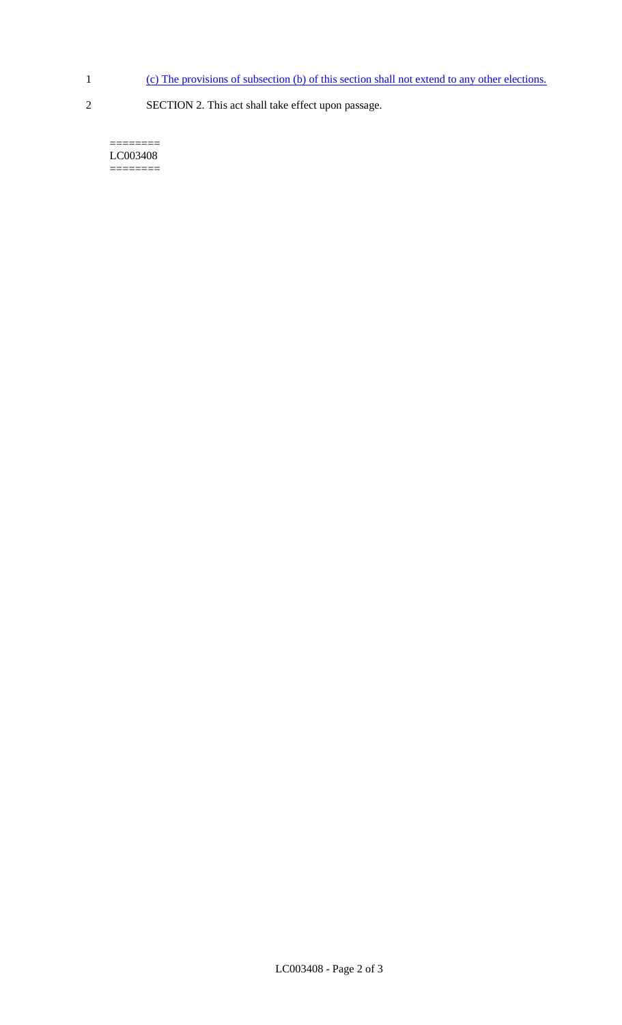- 1 (c) The provisions of subsection (b) of this section shall not extend to any other elections.
- 2 SECTION 2. This act shall take effect upon passage.

======== LC003408  $=$